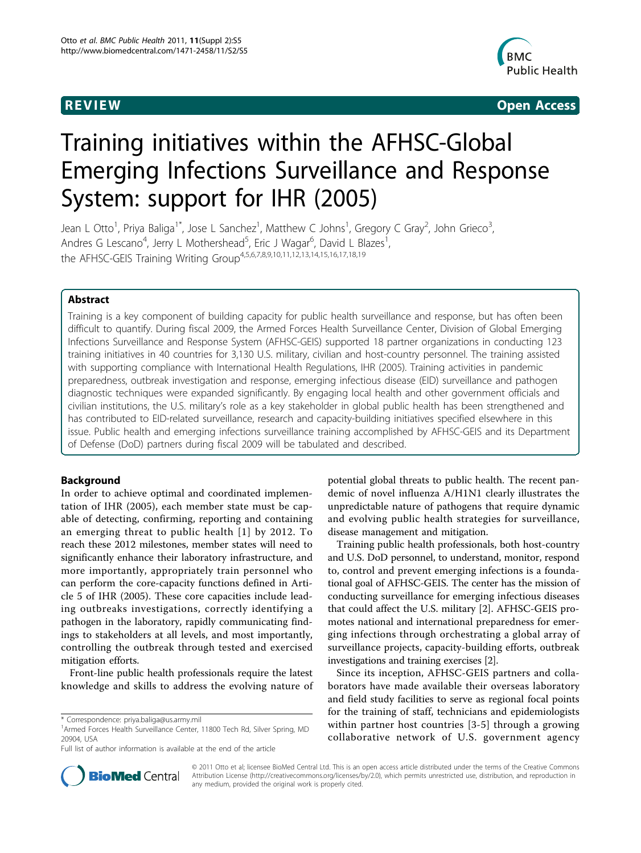

**REVIEW REVIEW CONSTRUCTER ACCESS** 

# Training initiatives within the AFHSC-Global Emerging Infections Surveillance and Response System: support for IHR (2005)

Jean L Otto<sup>1</sup>, Priya Baliga<sup>1\*</sup>, Jose L Sanchez<sup>1</sup>, Matthew C Johns<sup>1</sup>, Gregory C Gray<sup>2</sup>, John Grieco<sup>3</sup> , Andres G Lescano<sup>4</sup>, Jerry L Mothershead<sup>5</sup>, Eric J Wagar<sup>6</sup>, David L Blazes<sup>1</sup> , the AFHSC-GEIS Training Writing Group4,5,6,7,8,9,10,11,12,13,14,15,16,17,18,19

# Abstract

Training is a key component of building capacity for public health surveillance and response, but has often been difficult to quantify. During fiscal 2009, the Armed Forces Health Surveillance Center, Division of Global Emerging Infections Surveillance and Response System (AFHSC-GEIS) supported 18 partner organizations in conducting 123 training initiatives in 40 countries for 3,130 U.S. military, civilian and host-country personnel. The training assisted with supporting compliance with International Health Regulations, IHR (2005). Training activities in pandemic preparedness, outbreak investigation and response, emerging infectious disease (EID) surveillance and pathogen diagnostic techniques were expanded significantly. By engaging local health and other government officials and civilian institutions, the U.S. military's role as a key stakeholder in global public health has been strengthened and has contributed to EID-related surveillance, research and capacity-building initiatives specified elsewhere in this issue. Public health and emerging infections surveillance training accomplished by AFHSC-GEIS and its Department of Defense (DoD) partners during fiscal 2009 will be tabulated and described.

### Background

In order to achieve optimal and coordinated implementation of IHR (2005), each member state must be capable of detecting, confirming, reporting and containing an emerging threat to public health [[1\]](#page-6-0) by 2012. To reach these 2012 milestones, member states will need to significantly enhance their laboratory infrastructure, and more importantly, appropriately train personnel who can perform the core-capacity functions defined in Article 5 of IHR (2005). These core capacities include leading outbreaks investigations, correctly identifying a pathogen in the laboratory, rapidly communicating findings to stakeholders at all levels, and most importantly, controlling the outbreak through tested and exercised mitigation efforts.

Front-line public health professionals require the latest knowledge and skills to address the evolving nature of potential global threats to public health. The recent pandemic of novel influenza A/H1N1 clearly illustrates the unpredictable nature of pathogens that require dynamic and evolving public health strategies for surveillance, disease management and mitigation.

Training public health professionals, both host-country and U.S. DoD personnel, to understand, monitor, respond to, control and prevent emerging infections is a foundational goal of AFHSC-GEIS. The center has the mission of conducting surveillance for emerging infectious diseases that could affect the U.S. military [\[2](#page-6-0)]. AFHSC-GEIS promotes national and international preparedness for emerging infections through orchestrating a global array of surveillance projects, capacity-building efforts, outbreak investigations and training exercises [\[2](#page-6-0)].

Since its inception, AFHSC-GEIS partners and collaborators have made available their overseas laboratory and field study facilities to serve as regional focal points for the training of staff, technicians and epidemiologists within partner host countries [[3](#page-7-0)-[5](#page-7-0)] through a growing collaborative network of U.S. government agency



© 2011 Otto et al; licensee BioMed Central Ltd. This is an open access article distributed under the terms of the Creative Commons Attribution License [\(http://creativecommons.org/licenses/by/2.0](http://creativecommons.org/licenses/by/2.0)), which permits unrestricted use, distribution, and reproduction in any medium, provided the original work is properly cited.

<sup>\*</sup> Correspondence: [priya.baliga@us.army.mil](mailto:priya.baliga@us.army.mil)

<sup>&</sup>lt;sup>1</sup> Armed Forces Health Surveillance Center, 11800 Tech Rd, Silver Spring, MD 20904, USA

Full list of author information is available at the end of the article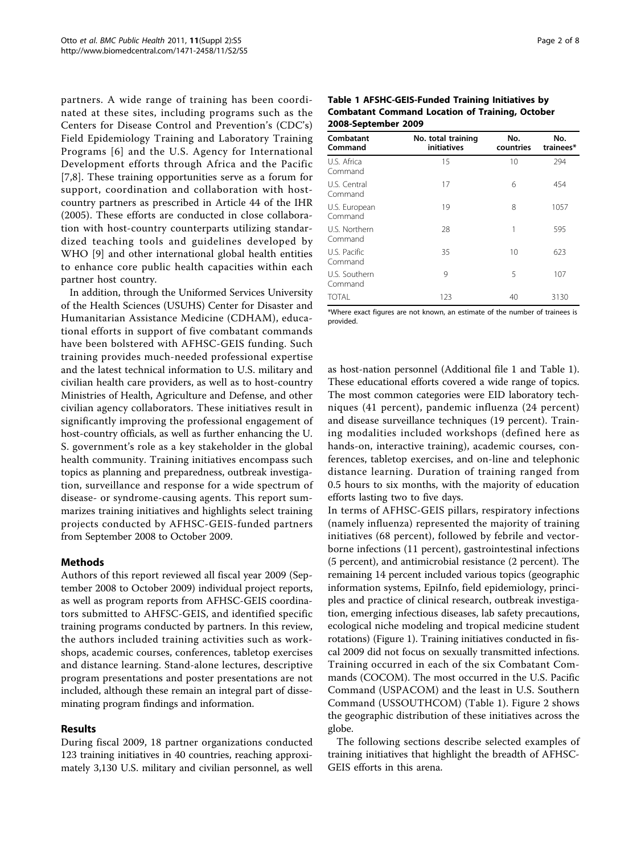partners. A wide range of training has been coordinated at these sites, including programs such as the Centers for Disease Control and Prevention's (CDC's) Field Epidemiology Training and Laboratory Training Programs [[6\]](#page-7-0) and the U.S. Agency for International Development efforts through Africa and the Pacific [[7,8](#page-7-0)]. These training opportunities serve as a forum for support, coordination and collaboration with hostcountry partners as prescribed in Article 44 of the IHR (2005). These efforts are conducted in close collaboration with host-country counterparts utilizing standardized teaching tools and guidelines developed by WHO [[9\]](#page-7-0) and other international global health entities to enhance core public health capacities within each partner host country.

In addition, through the Uniformed Services University of the Health Sciences (USUHS) Center for Disaster and Humanitarian Assistance Medicine (CDHAM), educational efforts in support of five combatant commands have been bolstered with AFHSC-GEIS funding. Such training provides much-needed professional expertise and the latest technical information to U.S. military and civilian health care providers, as well as to host-country Ministries of Health, Agriculture and Defense, and other civilian agency collaborators. These initiatives result in significantly improving the professional engagement of host-country officials, as well as further enhancing the U. S. government's role as a key stakeholder in the global health community. Training initiatives encompass such topics as planning and preparedness, outbreak investigation, surveillance and response for a wide spectrum of disease- or syndrome-causing agents. This report summarizes training initiatives and highlights select training projects conducted by AFHSC-GEIS-funded partners from September 2008 to October 2009.

### Methods

Authors of this report reviewed all fiscal year 2009 (September 2008 to October 2009) individual project reports, as well as program reports from AFHSC-GEIS coordinators submitted to AHFSC-GEIS, and identified specific training programs conducted by partners. In this review, the authors included training activities such as workshops, academic courses, conferences, tabletop exercises and distance learning. Stand-alone lectures, descriptive program presentations and poster presentations are not included, although these remain an integral part of disseminating program findings and information.

#### Results

During fiscal 2009, 18 partner organizations conducted 123 training initiatives in 40 countries, reaching approximately 3,130 U.S. military and civilian personnel, as well

| Table 1 AFSHC-GEIS-Funded Training Initiatives by      |
|--------------------------------------------------------|
| <b>Combatant Command Location of Training, October</b> |
| 2008-September 2009                                    |

| Combatant<br>Command     | No. total training<br>initiatives | No.<br>countries | No.<br>trainees* |
|--------------------------|-----------------------------------|------------------|------------------|
| U.S. Africa<br>Command   | 15                                | 10               | 294              |
| U.S. Central<br>Command  | 17                                | 6                | 454              |
| U.S. European<br>Command | 19                                | 8                | 1057             |
| U.S. Northern<br>Command | 28                                | 1                | 595              |
| U.S. Pacific<br>Command  | 35                                | 10               | 623              |
| U.S. Southern<br>Command | 9                                 | 5                | 107              |
| TOTAL                    | 123                               | 40               | 3130             |

\*Where exact figures are not known, an estimate of the number of trainees is provided.

as host-nation personnel (Additional file [1](#page-6-0) and Table 1). These educational efforts covered a wide range of topics. The most common categories were EID laboratory techniques (41 percent), pandemic influenza (24 percent) and disease surveillance techniques (19 percent). Training modalities included workshops (defined here as hands-on, interactive training), academic courses, conferences, tabletop exercises, and on-line and telephonic distance learning. Duration of training ranged from 0.5 hours to six months, with the majority of education efforts lasting two to five days.

In terms of AFHSC-GEIS pillars, respiratory infections (namely influenza) represented the majority of training initiatives (68 percent), followed by febrile and vectorborne infections (11 percent), gastrointestinal infections (5 percent), and antimicrobial resistance (2 percent). The remaining 14 percent included various topics (geographic information systems, EpiInfo, field epidemiology, principles and practice of clinical research, outbreak investigation, emerging infectious diseases, lab safety precautions, ecological niche modeling and tropical medicine student rotations) (Figure [1](#page-2-0)). Training initiatives conducted in fiscal 2009 did not focus on sexually transmitted infections. Training occurred in each of the six Combatant Commands (COCOM). The most occurred in the U.S. Pacific Command (USPACOM) and the least in U.S. Southern Command (USSOUTHCOM) (Table 1). Figure [2](#page-3-0) shows the geographic distribution of these initiatives across the globe.

The following sections describe selected examples of training initiatives that highlight the breadth of AFHSC-GEIS efforts in this arena.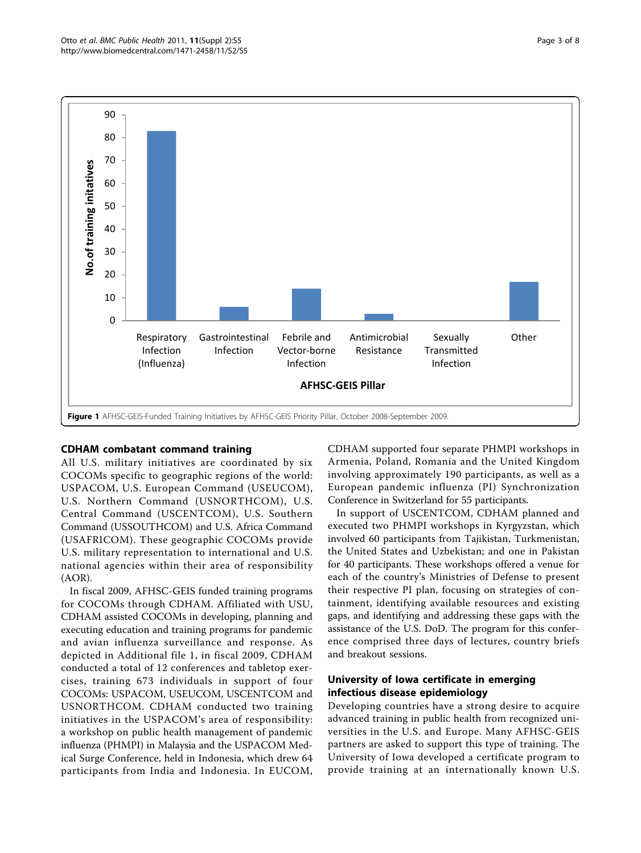<span id="page-2-0"></span>

### CDHAM combatant command training

All U.S. military initiatives are coordinated by six COCOMs specific to geographic regions of the world: USPACOM, U.S. European Command (USEUCOM), U.S. Northern Command (USNORTHCOM), U.S. Central Command (USCENTCOM), U.S. Southern Command (USSOUTHCOM) and U.S. Africa Command (USAFRICOM). These geographic COCOMs provide U.S. military representation to international and U.S. national agencies within their area of responsibility (AOR).

In fiscal 2009, AFHSC-GEIS funded training programs for COCOMs through CDHAM. Affiliated with USU, CDHAM assisted COCOMs in developing, planning and executing education and training programs for pandemic and avian influenza surveillance and response. As depicted in Additional file [1](#page-6-0), in fiscal 2009, CDHAM conducted a total of 12 conferences and tabletop exercises, training 673 individuals in support of four COCOMs: USPACOM, USEUCOM, USCENTCOM and USNORTHCOM. CDHAM conducted two training initiatives in the USPACOM's area of responsibility: a workshop on public health management of pandemic influenza (PHMPI) in Malaysia and the USPACOM Medical Surge Conference, held in Indonesia, which drew 64 participants from India and Indonesia. In EUCOM,

CDHAM supported four separate PHMPI workshops in Armenia, Poland, Romania and the United Kingdom involving approximately 190 participants, as well as a European pandemic influenza (PI) Synchronization Conference in Switzerland for 55 participants.

In support of USCENTCOM, CDHAM planned and executed two PHMPI workshops in Kyrgyzstan, which involved 60 participants from Tajikistan, Turkmenistan, the United States and Uzbekistan; and one in Pakistan for 40 participants. These workshops offered a venue for each of the country's Ministries of Defense to present their respective PI plan, focusing on strategies of containment, identifying available resources and existing gaps, and identifying and addressing these gaps with the assistance of the U.S. DoD. The program for this conference comprised three days of lectures, country briefs and breakout sessions.

# University of Iowa certificate in emerging infectious disease epidemiology

Developing countries have a strong desire to acquire advanced training in public health from recognized universities in the U.S. and Europe. Many AFHSC-GEIS partners are asked to support this type of training. The University of Iowa developed a certificate program to provide training at an internationally known U.S.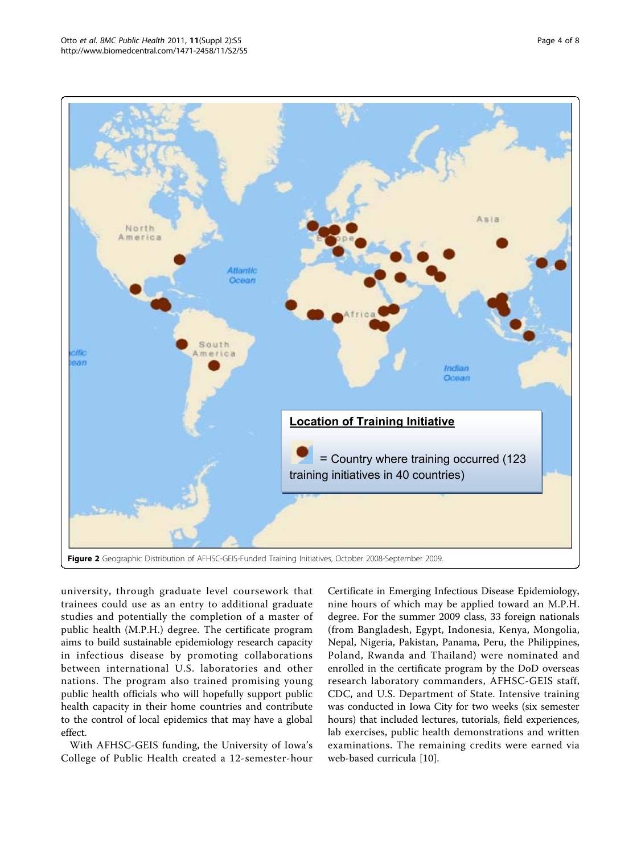<span id="page-3-0"></span>

Figure 2 Geographic Distribution of AFHSC-GEIS-Funded Training Initiatives, October 2008-September 2009.

university, through graduate level coursework that trainees could use as an entry to additional graduate studies and potentially the completion of a master of public health (M.P.H.) degree. The certificate program aims to build sustainable epidemiology research capacity in infectious disease by promoting collaborations between international U.S. laboratories and other nations. The program also trained promising young public health officials who will hopefully support public health capacity in their home countries and contribute to the control of local epidemics that may have a global effect.

With AFHSC-GEIS funding, the University of Iowa's College of Public Health created a 12-semester-hour

Certificate in Emerging Infectious Disease Epidemiology, nine hours of which may be applied toward an M.P.H. degree. For the summer 2009 class, 33 foreign nationals (from Bangladesh, Egypt, Indonesia, Kenya, Mongolia, Nepal, Nigeria, Pakistan, Panama, Peru, the Philippines, Poland, Rwanda and Thailand) were nominated and enrolled in the certificate program by the DoD overseas research laboratory commanders, AFHSC-GEIS staff, CDC, and U.S. Department of State. Intensive training was conducted in Iowa City for two weeks (six semester hours) that included lectures, tutorials, field experiences, lab exercises, public health demonstrations and written examinations. The remaining credits were earned via web-based curricula [\[10\]](#page-7-0).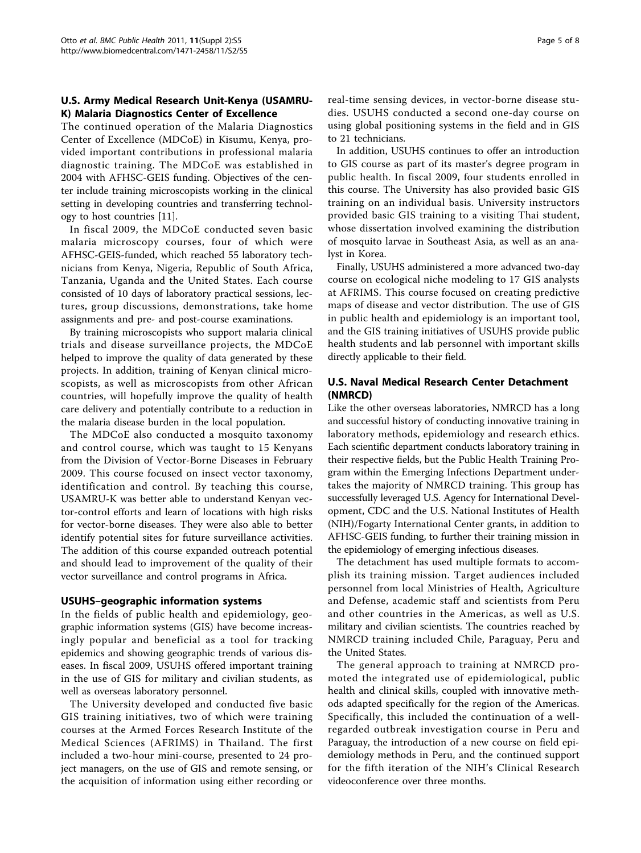# U.S. Army Medical Research Unit-Kenya (USAMRU-K) Malaria Diagnostics Center of Excellence

The continued operation of the Malaria Diagnostics Center of Excellence (MDCoE) in Kisumu, Kenya, provided important contributions in professional malaria diagnostic training. The MDCoE was established in 2004 with AFHSC-GEIS funding. Objectives of the center include training microscopists working in the clinical setting in developing countries and transferring technology to host countries [\[11\]](#page-7-0).

In fiscal 2009, the MDCoE conducted seven basic malaria microscopy courses, four of which were AFHSC-GEIS-funded, which reached 55 laboratory technicians from Kenya, Nigeria, Republic of South Africa, Tanzania, Uganda and the United States. Each course consisted of 10 days of laboratory practical sessions, lectures, group discussions, demonstrations, take home assignments and pre- and post-course examinations.

By training microscopists who support malaria clinical trials and disease surveillance projects, the MDCoE helped to improve the quality of data generated by these projects. In addition, training of Kenyan clinical microscopists, as well as microscopists from other African countries, will hopefully improve the quality of health care delivery and potentially contribute to a reduction in the malaria disease burden in the local population.

The MDCoE also conducted a mosquito taxonomy and control course, which was taught to 15 Kenyans from the Division of Vector-Borne Diseases in February 2009. This course focused on insect vector taxonomy, identification and control. By teaching this course, USAMRU-K was better able to understand Kenyan vector-control efforts and learn of locations with high risks for vector-borne diseases. They were also able to better identify potential sites for future surveillance activities. The addition of this course expanded outreach potential and should lead to improvement of the quality of their vector surveillance and control programs in Africa.

### USUHS–geographic information systems

In the fields of public health and epidemiology, geographic information systems (GIS) have become increasingly popular and beneficial as a tool for tracking epidemics and showing geographic trends of various diseases. In fiscal 2009, USUHS offered important training in the use of GIS for military and civilian students, as well as overseas laboratory personnel.

The University developed and conducted five basic GIS training initiatives, two of which were training courses at the Armed Forces Research Institute of the Medical Sciences (AFRIMS) in Thailand. The first included a two-hour mini-course, presented to 24 project managers, on the use of GIS and remote sensing, or the acquisition of information using either recording or real-time sensing devices, in vector-borne disease studies. USUHS conducted a second one-day course on using global positioning systems in the field and in GIS to 21 technicians.

In addition, USUHS continues to offer an introduction to GIS course as part of its master's degree program in public health. In fiscal 2009, four students enrolled in this course. The University has also provided basic GIS training on an individual basis. University instructors provided basic GIS training to a visiting Thai student, whose dissertation involved examining the distribution of mosquito larvae in Southeast Asia, as well as an analyst in Korea.

Finally, USUHS administered a more advanced two-day course on ecological niche modeling to 17 GIS analysts at AFRIMS. This course focused on creating predictive maps of disease and vector distribution. The use of GIS in public health and epidemiology is an important tool, and the GIS training initiatives of USUHS provide public health students and lab personnel with important skills directly applicable to their field.

# U.S. Naval Medical Research Center Detachment (NMRCD)

Like the other overseas laboratories, NMRCD has a long and successful history of conducting innovative training in laboratory methods, epidemiology and research ethics. Each scientific department conducts laboratory training in their respective fields, but the Public Health Training Program within the Emerging Infections Department undertakes the majority of NMRCD training. This group has successfully leveraged U.S. Agency for International Development, CDC and the U.S. National Institutes of Health (NIH)/Fogarty International Center grants, in addition to AFHSC-GEIS funding, to further their training mission in the epidemiology of emerging infectious diseases.

The detachment has used multiple formats to accomplish its training mission. Target audiences included personnel from local Ministries of Health, Agriculture and Defense, academic staff and scientists from Peru and other countries in the Americas, as well as U.S. military and civilian scientists. The countries reached by NMRCD training included Chile, Paraguay, Peru and the United States.

The general approach to training at NMRCD promoted the integrated use of epidemiological, public health and clinical skills, coupled with innovative methods adapted specifically for the region of the Americas. Specifically, this included the continuation of a wellregarded outbreak investigation course in Peru and Paraguay, the introduction of a new course on field epidemiology methods in Peru, and the continued support for the fifth iteration of the NIH's Clinical Research videoconference over three months.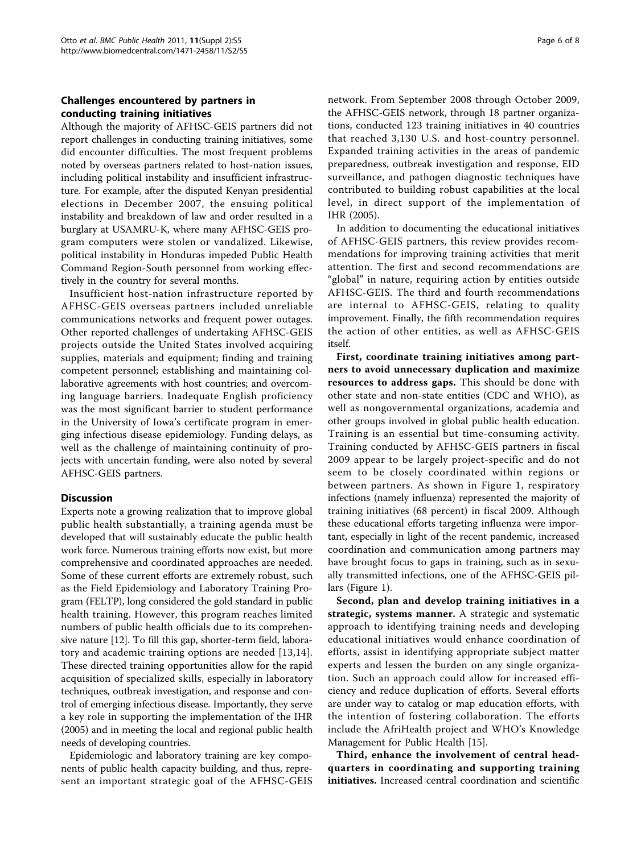# Challenges encountered by partners in conducting training initiatives

Although the majority of AFHSC-GEIS partners did not report challenges in conducting training initiatives, some did encounter difficulties. The most frequent problems noted by overseas partners related to host-nation issues, including political instability and insufficient infrastructure. For example, after the disputed Kenyan presidential elections in December 2007, the ensuing political instability and breakdown of law and order resulted in a burglary at USAMRU-K, where many AFHSC-GEIS program computers were stolen or vandalized. Likewise, political instability in Honduras impeded Public Health Command Region-South personnel from working effectively in the country for several months.

Insufficient host-nation infrastructure reported by AFHSC-GEIS overseas partners included unreliable communications networks and frequent power outages. Other reported challenges of undertaking AFHSC-GEIS projects outside the United States involved acquiring supplies, materials and equipment; finding and training competent personnel; establishing and maintaining collaborative agreements with host countries; and overcoming language barriers. Inadequate English proficiency was the most significant barrier to student performance in the University of Iowa's certificate program in emerging infectious disease epidemiology. Funding delays, as well as the challenge of maintaining continuity of projects with uncertain funding, were also noted by several AFHSC-GEIS partners.

### **Discussion**

Experts note a growing realization that to improve global public health substantially, a training agenda must be developed that will sustainably educate the public health work force. Numerous training efforts now exist, but more comprehensive and coordinated approaches are needed. Some of these current efforts are extremely robust, such as the Field Epidemiology and Laboratory Training Program (FELTP), long considered the gold standard in public health training. However, this program reaches limited numbers of public health officials due to its comprehensive nature [[12\]](#page-7-0). To fill this gap, shorter-term field, laboratory and academic training options are needed [[13](#page-7-0),[14\]](#page-7-0). These directed training opportunities allow for the rapid acquisition of specialized skills, especially in laboratory techniques, outbreak investigation, and response and control of emerging infectious disease. Importantly, they serve a key role in supporting the implementation of the IHR (2005) and in meeting the local and regional public health needs of developing countries.

Epidemiologic and laboratory training are key components of public health capacity building, and thus, represent an important strategic goal of the AFHSC-GEIS network. From September 2008 through October 2009, the AFHSC-GEIS network, through 18 partner organizations, conducted 123 training initiatives in 40 countries that reached 3,130 U.S. and host-country personnel. Expanded training activities in the areas of pandemic preparedness, outbreak investigation and response, EID surveillance, and pathogen diagnostic techniques have contributed to building robust capabilities at the local level, in direct support of the implementation of IHR (2005).

In addition to documenting the educational initiatives of AFHSC-GEIS partners, this review provides recommendations for improving training activities that merit attention. The first and second recommendations are "global" in nature, requiring action by entities outside AFHSC-GEIS. The third and fourth recommendations are internal to AFHSC-GEIS, relating to quality improvement. Finally, the fifth recommendation requires the action of other entities, as well as AFHSC-GEIS itself.

First, coordinate training initiatives among partners to avoid unnecessary duplication and maximize resources to address gaps. This should be done with other state and non-state entities (CDC and WHO), as well as nongovernmental organizations, academia and other groups involved in global public health education. Training is an essential but time-consuming activity. Training conducted by AFHSC-GEIS partners in fiscal 2009 appear to be largely project-specific and do not seem to be closely coordinated within regions or between partners. As shown in Figure [1](#page-2-0), respiratory infections (namely influenza) represented the majority of training initiatives (68 percent) in fiscal 2009. Although these educational efforts targeting influenza were important, especially in light of the recent pandemic, increased coordination and communication among partners may have brought focus to gaps in training, such as in sexually transmitted infections, one of the AFHSC-GEIS pillars (Figure [1](#page-2-0)).

Second, plan and develop training initiatives in a strategic, systems manner. A strategic and systematic approach to identifying training needs and developing educational initiatives would enhance coordination of efforts, assist in identifying appropriate subject matter experts and lessen the burden on any single organization. Such an approach could allow for increased efficiency and reduce duplication of efforts. Several efforts are under way to catalog or map education efforts, with the intention of fostering collaboration. The efforts include the AfriHealth project and WHO's Knowledge Management for Public Health [\[15](#page-7-0)].

Third, enhance the involvement of central headquarters in coordinating and supporting training initiatives. Increased central coordination and scientific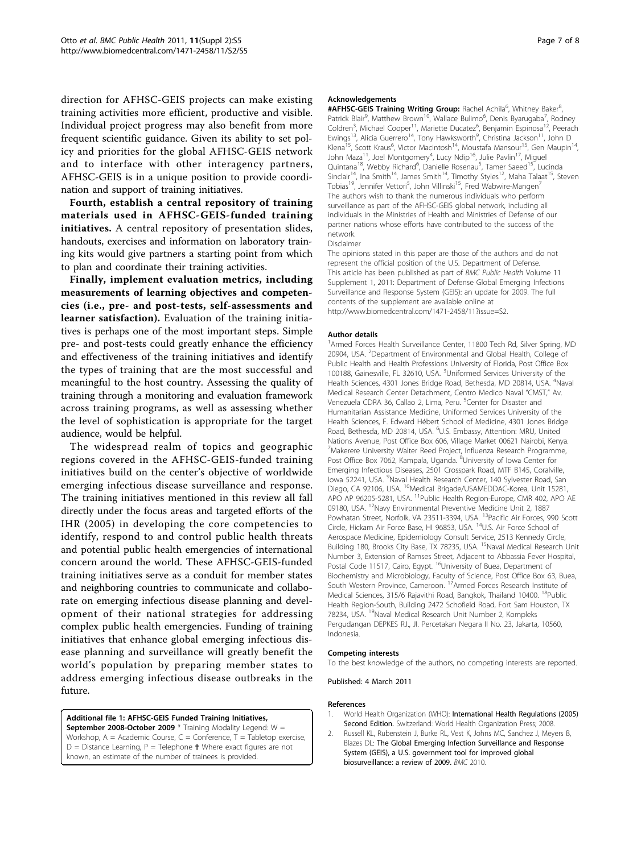<span id="page-6-0"></span>direction for AFHSC-GEIS projects can make existing training activities more efficient, productive and visible. Individual project progress may also benefit from more frequent scientific guidance. Given its ability to set policy and priorities for the global AFHSC-GEIS network and to interface with other interagency partners, AFHSC-GEIS is in a unique position to provide coordination and support of training initiatives.

Fourth, establish a central repository of training materials used in AFHSC-GEIS-funded training initiatives. A central repository of presentation slides, handouts, exercises and information on laboratory training kits would give partners a starting point from which to plan and coordinate their training activities.

Finally, implement evaluation metrics, including measurements of learning objectives and competencies (i.e., pre- and post-tests, self-assessments and learner satisfaction). Evaluation of the training initiatives is perhaps one of the most important steps. Simple pre- and post-tests could greatly enhance the efficiency and effectiveness of the training initiatives and identify the types of training that are the most successful and meaningful to the host country. Assessing the quality of training through a monitoring and evaluation framework across training programs, as well as assessing whether the level of sophistication is appropriate for the target audience, would be helpful.

The widespread realm of topics and geographic regions covered in the AFHSC-GEIS-funded training initiatives build on the center's objective of worldwide emerging infectious disease surveillance and response. The training initiatives mentioned in this review all fall directly under the focus areas and targeted efforts of the IHR (2005) in developing the core competencies to identify, respond to and control public health threats and potential public health emergencies of international concern around the world. These AFHSC-GEIS-funded training initiatives serve as a conduit for member states and neighboring countries to communicate and collaborate on emerging infectious disease planning and development of their national strategies for addressing complex public health emergencies. Funding of training initiatives that enhance global emerging infectious disease planning and surveillance will greatly benefit the world's population by preparing member states to address emerging infectious disease outbreaks in the future.

[Additional file 1: A](http://www.biomedcentral.com/content/supplementary/1471-2458-11-S2-S5-S1.docx)FHSC-GEIS Funded Training Initiatives, September 2008-October 2009 \* Training Modality Legend: W = Workshop,  $A =$  Academic Course,  $C =$  Conference,  $T =$  Tabletop exercise,  $D =$  Distance Learning, P = Telephone  $\dagger$  Where exact figures are not known, an estimate of the number of trainees is provided.

#### Acknowledgements

#AFHSC-GEIS Training Writing Group: Rachel Achila<sup>6</sup>, Whitney Baker<sup>8</sup> , Patrick Blair<sup>9</sup>, Matthew Brown<sup>10</sup>, Wallace Bulimo<sup>6</sup>, Denis Byarugaba<sup>7</sup>, Rodney<br>Coldren<sup>3</sup>, Michael Cooper<sup>11</sup>, Mariette Ducatez<sup>6</sup>, Benjamin Espinosa<sup>12</sup>, Peerach Ewings<sup>13</sup>, Alicia Guerrero<sup>14</sup>, Tony Hawksworth<sup>9</sup>, Christina Jackson<sup>11</sup>, John D Klena<sup>15</sup>, Scott Kraus<sup>6</sup>, Victor Macintosh<sup>14</sup>, Moustafa Mansour<sup>15</sup>, Gen Maupin<sup>14</sup> John Maza<sup>11</sup>, Joel Montgomery<sup>4</sup>, Lucy Ndip<sup>16</sup>, Julie Pavlin<sup>17</sup>, Miguel Quintana<sup>18</sup>, Webby Richard<sup>6</sup>, Danielle Rosenau<sup>5</sup>, Tamer Saeed<sup>15</sup>, Lucinda Sinclair<sup>14</sup>, Ina Smith<sup>14</sup>, James Smith<sup>14</sup>, Timothy Styles<sup>12</sup>, Maha Talaat<sup>15</sup>, Steven Tobias<sup>19</sup>, Jennifer Vettori<sup>5</sup>, John Villinski<sup>15</sup>, Fred Wabwire-Mangen<sup>7</sup> The authors wish to thank the numerous individuals who perform surveillance as part of the AFHSC-GEIS global network, including all individuals in the Ministries of Health and Ministries of Defense of our partner nations whose efforts have contributed to the success of the network.

**Disclaimer** 

The opinions stated in this paper are those of the authors and do not represent the official position of the U.S. Department of Defense. This article has been published as part of BMC Public Health Volume 11 Supplement 1, 2011: Department of Defense Global Emerging Infections Surveillance and Response System (GEIS): an update for 2009. The full contents of the supplement are available online at [http://www.biomedcentral.com/1471-2458/11?issue=S2.](http://www.biomedcentral.com/1471-2458/11?issue=S2)

#### Author details

<sup>1</sup> Armed Forces Health Surveillance Center, 11800 Tech Rd, Silver Spring, MD 20904, USA. <sup>2</sup>Department of Environmental and Global Health, College of Public Health and Health Professions University of Florida, Post Office Box 100188, Gainesville, FL 32610, USA. <sup>3</sup>Uniformed Services University of the Health Sciences, 4301 Jones Bridge Road, Bethesda, MD 20814, USA. <sup>4</sup>Naval Medical Research Center Detachment, Centro Medico Naval "CMST," Av. Venezuela CDRA 36, Callao 2, Lima, Peru. <sup>5</sup>Center for Disaster and Humanitarian Assistance Medicine, Uniformed Services University of the Health Sciences, F. Edward Hébert School of Medicine, 4301 Jones Bridge Road, Bethesda, MD 20814, USA. <sup>6</sup>U.S. Embassy, Attention: MRU, United Nations Avenue, Post Office Box 606, Village Market 00621 Nairobi, Kenya. <sup>7</sup>Makerere University Walter Reed Project, Influenza Research Programme Post Office Box 7062, Kampala, Uganda. <sup>8</sup>University of Iowa Center for Emerging Infectious Diseases, 2501 Crosspark Road, MTF B145, Coralville, lowa 52241, USA. <sup>9</sup>Naval Health Research Center, 140 Sylvester Road, San Diego, CA 92106, USA. <sup>10</sup>Medical Brigade/USAMEDDAC-Korea, Unit 15281, APO AP 96205-5281, USA. 11Public Health Region-Europe, CMR 402, APO AE 09180, USA. <sup>12</sup>Navy Environmental Preventive Medicine Unit 2, 1887 Powhatan Street, Norfolk, VA 23511-3394, USA. <sup>13</sup>Pacific Air Forces, 990 Scott Circle, Hickam Air Force Base, HI 96853, USA. <sup>14</sup>U.S. Air Force School of Aerospace Medicine, Epidemiology Consult Service, 2513 Kennedy Circle, Building 180, Brooks City Base, TX 78235, USA. <sup>15</sup>Naval Medical Research Unit Number 3, Extension of Ramses Street, Adjacent to Abbassia Fever Hospital, Postal Code 11517, Cairo, Egypt. <sup>16</sup>University of Buea, Department of Biochemistry and Microbiology, Faculty of Science, Post Office Box 63, Buea, South Western Province, Cameroon.<sup>17</sup>Armed Forces Research Institute of Medical Sciences, 315/6 Rajavithi Road, Bangkok, Thailand 10400. <sup>18</sup>Public Health Region-South, Building 2472 Schofield Road, Fort Sam Houston, TX 78234, USA. <sup>19</sup>Naval Medical Research Unit Number 2, Kompleks Pergudangan DEPKES R.I., JI. Percetakan Negara II No. 23, Jakarta, 10560, Indonesia.

#### Competing interests

To the best knowledge of the authors, no competing interests are reported.

Published: 4 March 2011

#### References

- 1. World Health Organization (WHO): International Health Regulations (2005) Second Edition. Switzerland: World Health Organization Press; 2008.
- 2. Russell KL, Rubenstein J, Burke RL, Vest K, Johns MC, Sanchez J, Meyers B, Blazes DL: The Global Emerging Infection Surveillance and Response System (GEIS), a U.S. government tool for improved global biosurveillance: a review of 2009. BMC 2010.